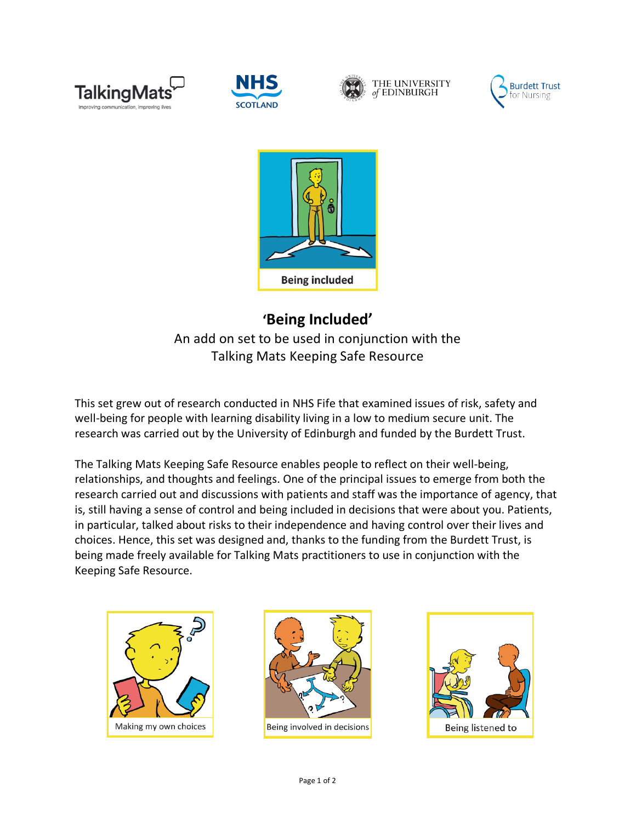









## **'Being Included'** An add on set to be used in conjunction with the Talking Mats Keeping Safe Resource

This set grew out of research conducted in NHS Fife that examined issues of risk, safety and well-being for people with learning disability living in a low to medium secure unit. The research was carried out by the University of Edinburgh and funded by the Burdett Trust.

The Talking Mats Keeping Safe Resource enables people to reflect on their well-being, relationships, and thoughts and feelings. One of the principal issues to emerge from both the research carried out and discussions with patients and staff was the importance of agency, that is, still having a sense of control and being included in decisions that were about you. Patients, in particular, talked about risks to their independence and having control over their lives and choices. Hence, this set was designed and, thanks to the funding from the Burdett Trust, is being made freely available for Talking Mats practitioners to use in conjunction with the Keeping Safe Resource.